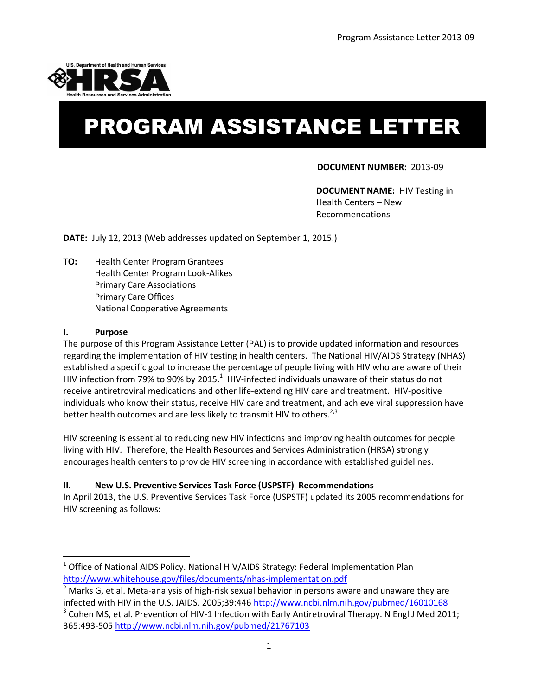

# PROGRAM ASSISTANCE LETTER

### **DOCUMENT NUMBER:** 2013-09

**DOCUMENT NAME:** HIV Testing in Health Centers – New Recommendations

**DATE:** July 12, 2013 (Web addresses updated on September 1, 2015.)

**TO:** Health Center Program Grantees Health Center Program Look-Alikes Primary Care Associations Primary Care Offices National Cooperative Agreements

#### **I. Purpose**

 $\overline{\phantom{a}}$ 

The purpose of this Program Assistance Letter (PAL) is to provide updated information and resources regarding the implementation of HIV testing in health centers. The National HIV/AIDS Strategy (NHAS) established a specific goal to increase the percentage of people living with HIV who are aware of their HIV infection from 79% to 90% by 2015.<sup>1</sup> HIV-infected individuals unaware of their status do not receive antiretroviral medications and other life-extending HIV care and treatment. HIV-positive individuals who know their status, receive HIV care and treatment, and achieve viral suppression have better health outcomes and are less likely to transmit HIV to others.<sup>2,3</sup>

HIV screening is essential to reducing new HIV infections and improving health outcomes for people living with HIV. Therefore, the Health Resources and Services Administration (HRSA) strongly encourages health centers to provide HIV screening in accordance with established guidelines.

#### **II. New U.S. Preventive Services Task Force (USPSTF) Recommendations**

In April 2013, the U.S. Preventive Services Task Force (USPSTF) updated its 2005 recommendations for HIV screening as follows:

<sup>&</sup>lt;sup>1</sup> Office of National AIDS Policy. National HIV/AIDS Strategy: Federal Implementation Plan <http://www.whitehouse.gov/files/documents/nhas-implementation.pdf>

 $2$  Marks G, et al. Meta-analysis of high-risk sexual behavior in persons aware and unaware they are infected with HIV in the U.S. JAIDS. 2005;39:44[6 http://www.ncbi.nlm.nih.gov/pubmed/16010168](http://www.ncbi.nlm.nih.gov/pubmed/16010168) 

 $3$  Cohen MS, et al. Prevention of HIV-1 Infection with Early Antiretroviral Therapy. N Engl J Med 2011; 365:493-505<http://www.ncbi.nlm.nih.gov/pubmed/21767103>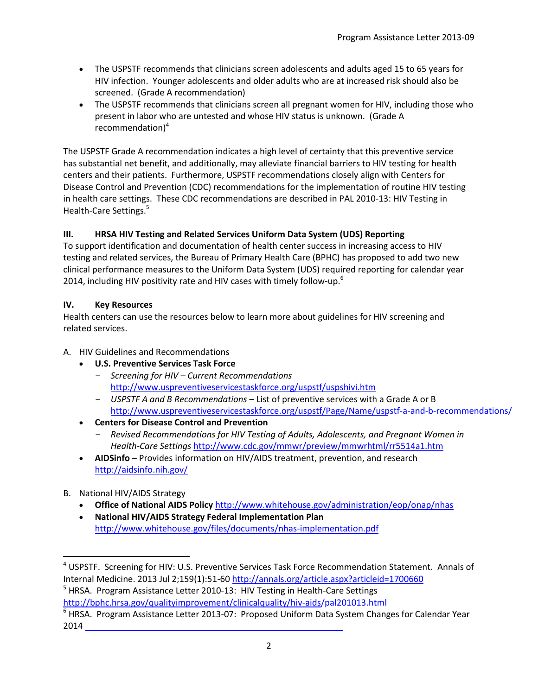- The USPSTF recommends that clinicians screen adolescents and adults aged 15 to 65 years for HIV infection. Younger adolescents and older adults who are at increased risk should also be screened. (Grade A recommendation)
- The USPSTF recommends that clinicians screen all pregnant women for HIV, including those who present in labor who are untested and whose HIV status is unknown. (Grade A recommendation $)^4$

The USPSTF Grade A recommendation indicates a high level of certainty that this preventive service has substantial net benefit, and additionally, may alleviate financial barriers to HIV testing for health centers and their patients. Furthermore, USPSTF recommendations closely align with Centers for Disease Control and Prevention (CDC) recommendations for the implementation of routine HIV testing in health care settings. These CDC recommendations are described in PAL 2010-13: HIV Testing in Health-Care Settings.<sup>5</sup>

# **III. HRSA HIV Testing and Related Services Uniform Data System (UDS) Reporting**

To support identification and documentation of health center success in increasing access to HIV testing and related services, the Bureau of Primary Health Care (BPHC) has proposed to add two new clinical performance measures to the Uniform Data System (UDS) required reporting for calendar year 2014, including HIV positivity rate and HIV cases with timely follow-up.<sup>6</sup>

## **IV. Key Resources**

Health centers can use the resources below to learn more about guidelines for HIV screening and related services.

- A. HIV Guidelines and Recommendations
	- **U.S. Preventive Services Task Force** 
		- *Screening for HIV – Current Recommendations* <http://www.uspreventiveservicestaskforce.org/uspstf/uspshivi.htm>
		- *USPSTF A and B Recommendations* List of preventive services with a Grade A or B [http://www.uspreventiveservicestaskforce.org/uspstf/](http://www.uspreventiveservicestaskforce.org/Page/Name/uspstf-a-and-b-recommendations/)Page/Name/uspstf-a-and-b-recommendations/
	- **Centers for Disease Control and Prevention** 
		- *Revised Recommendations for HIV Testing of Adults, Adolescents, and Pregnant Women in Health-Care Settings* <http://www.cdc.gov/mmwr/preview/mmwrhtml/rr5514a1.htm>
	- **AIDSinfo** Provides information on HIV/AIDS treatment, prevention, and research <http://aidsinfo.nih.gov/>
- B. National HIV/AIDS Strategy

 $\overline{\phantom{a}}$ 

- **Office of National AIDS Policy** <http://www.whitehouse.gov/administration/eop/onap/nhas>
- **National HIV/AIDS Strategy Federal Implementation Plan** <http://www.whitehouse.gov/files/documents/nhas-implementation.pdf>

<sup>&</sup>lt;sup>4</sup> USPSTF. Screening for HIV: U.S. Preventive Services Task Force Recommendation Statement. Annals of Internal Medicine. 2013 Jul 2;159(1):51-60<http://annals.org/article.aspx?articleid=1700660>

<sup>&</sup>lt;sup>5</sup> HRSA. Program Assistance Letter 2010-13: HIV Testing in Health-Care Settings http://bphc.hrsa.gov/[qualityimprovement/clinicalquality/hiv-aids/pal201013.html](http://bphc.hrsa.gov/qualityimprovement/clinicalquality/hiv-aids/pal201013.html)

<sup>&</sup>lt;sup>6</sup> HRSA. Program Assistance Letter 2013-07: Proposed Uniform Data System Changes for Calendar Year 2014